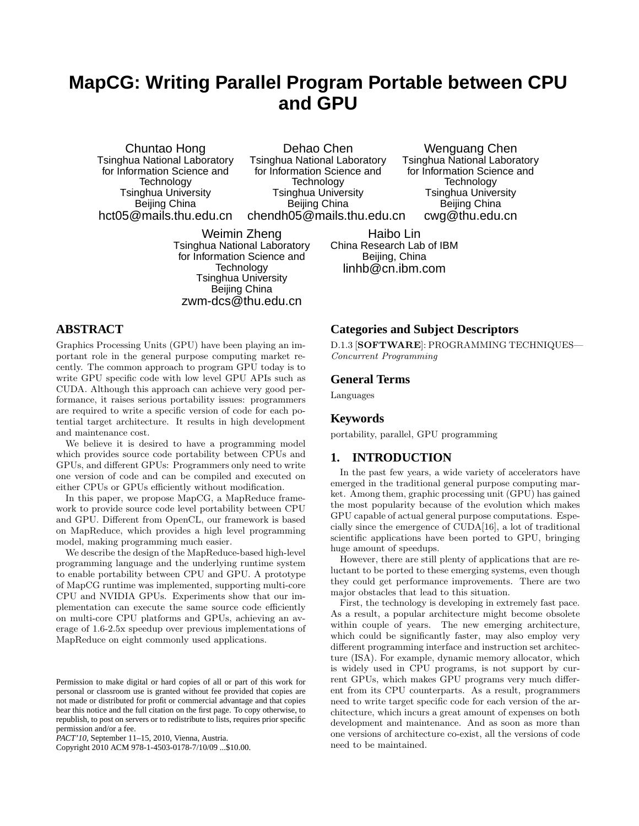# **MapCG: Writing Parallel Program Portable between CPU and GPU**

Chuntao Hong Tsinghua National Laboratory for Information Science and **Technology** Tsinghua University Beijing China hct05@mails.thu.edu.cn

Dehao Chen Tsinghua National Laboratory for Information Science and **Technology** Tsinghua University Beijing China chendh05@mails.thu.edu.cn

Weimin Zheng Tsinghua National Laboratory for Information Science and **Technology** Tsinghua University Beijing China zwm-dcs@thu.edu.cn

**ABSTRACT**

Graphics Processing Units (GPU) have been playing an important role in the general purpose computing market recently. The common approach to program GPU today is to write GPU specific code with low level GPU APIs such as CUDA. Although this approach can achieve very good performance, it raises serious portability issues: programmers are required to write a specific version of code for each potential target architecture. It results in high development and maintenance cost.

We believe it is desired to have a programming model which provides source code portability between CPUs and GPUs, and different GPUs: Programmers only need to write one version of code and can be compiled and executed on either CPUs or GPUs efficiently without modification.

In this paper, we propose MapCG, a MapReduce framework to provide source code level portability between CPU and GPU. Different from OpenCL, our framework is based on MapReduce, which provides a high level programming model, making programming much easier.

We describe the design of the MapReduce-based high-level programming language and the underlying runtime system to enable portability between CPU and GPU. A prototype of MapCG runtime was implemented, supporting multi-core CPU and NVIDIA GPUs. Experiments show that our implementation can execute the same source code efficiently on multi-core CPU platforms and GPUs, achieving an average of 1.6-2.5x speedup over previous implementations of MapReduce on eight commonly used applications.

Copyright 2010 ACM 978-1-4503-0178-7/10/09 ...\$10.00.

Haibo Lin China Research Lab of IBM Beijing, China linhb@cn.ibm.com

## **Categories and Subject Descriptors**

D.1.3 [SOFTWARE]: PROGRAMMING TECHNIQUES— Concurrent Programming

Wenguang Chen Tsinghua National Laboratory for Information Science and **Technology** Tsinghua University Beijing China cwg@thu.edu.cn

#### **General Terms**

Languages

#### **Keywords**

portability, parallel, GPU programming

## **1. INTRODUCTION**

In the past few years, a wide variety of accelerators have emerged in the traditional general purpose computing market. Among them, graphic processing unit (GPU) has gained the most popularity because of the evolution which makes GPU capable of actual general purpose computations. Especially since the emergence of CUDA[16], a lot of traditional scientific applications have been ported to GPU, bringing huge amount of speedups.

However, there are still plenty of applications that are reluctant to be ported to these emerging systems, even though they could get performance improvements. There are two major obstacles that lead to this situation.

First, the technology is developing in extremely fast pace. As a result, a popular architecture might become obsolete within couple of years. The new emerging architecture, which could be significantly faster, may also employ very different programming interface and instruction set architecture (ISA). For example, dynamic memory allocator, which is widely used in CPU programs, is not support by current GPUs, which makes GPU programs very much different from its CPU counterparts. As a result, programmers need to write target specific code for each version of the architecture, which incurs a great amount of expenses on both development and maintenance. And as soon as more than one versions of architecture co-exist, all the versions of code need to be maintained.

Permission to make digital or hard copies of all or part of this work for personal or classroom use is granted without fee provided that copies are not made or distributed for profit or commercial advantage and that copies bear this notice and the full citation on the first page. To copy otherwise, to republish, to post on servers or to redistribute to lists, requires prior specific permission and/or a fee.

*PACT'10,* September 11–15, 2010, Vienna, Austria.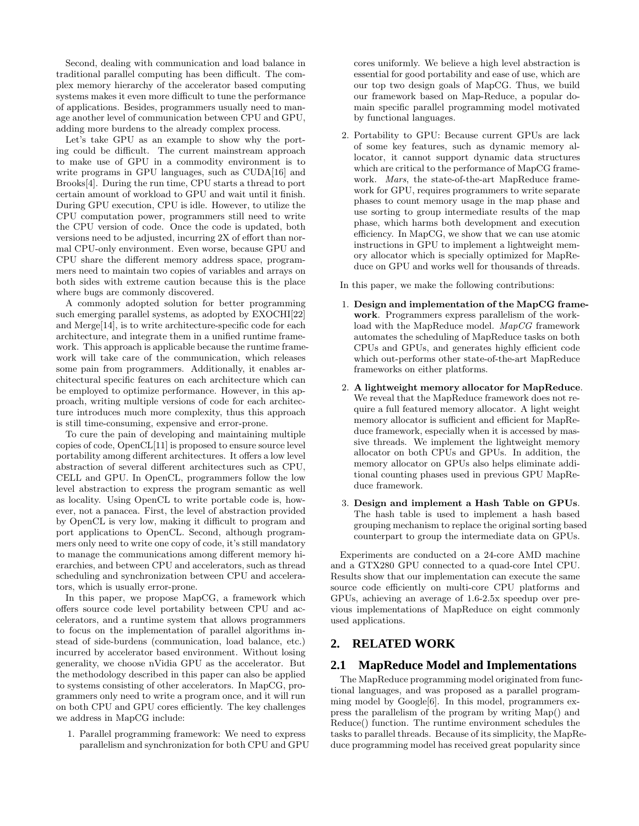Second, dealing with communication and load balance in traditional parallel computing has been difficult. The complex memory hierarchy of the accelerator based computing systems makes it even more difficult to tune the performance of applications. Besides, programmers usually need to manage another level of communication between CPU and GPU, adding more burdens to the already complex process.

Let's take GPU as an example to show why the porting could be difficult. The current mainstream approach to make use of GPU in a commodity environment is to write programs in GPU languages, such as CUDA[16] and Brooks[4]. During the run time, CPU starts a thread to port certain amount of workload to GPU and wait until it finish. During GPU execution, CPU is idle. However, to utilize the CPU computation power, programmers still need to write the CPU version of code. Once the code is updated, both versions need to be adjusted, incurring 2X of effort than normal CPU-only environment. Even worse, because GPU and CPU share the different memory address space, programmers need to maintain two copies of variables and arrays on both sides with extreme caution because this is the place where bugs are commonly discovered.

A commonly adopted solution for better programming such emerging parallel systems, as adopted by EXOCHI[22] and Merge[14], is to write architecture-specific code for each architecture, and integrate them in a unified runtime framework. This approach is applicable because the runtime framework will take care of the communication, which releases some pain from programmers. Additionally, it enables architectural specific features on each architecture which can be employed to optimize performance. However, in this approach, writing multiple versions of code for each architecture introduces much more complexity, thus this approach is still time-consuming, expensive and error-prone.

To cure the pain of developing and maintaining multiple copies of code, OpenCL[11] is proposed to ensure source level portability among different architectures. It offers a low level abstraction of several different architectures such as CPU, CELL and GPU. In OpenCL, programmers follow the low level abstraction to express the program semantic as well as locality. Using OpenCL to write portable code is, however, not a panacea. First, the level of abstraction provided by OpenCL is very low, making it difficult to program and port applications to OpenCL. Second, although programmers only need to write one copy of code, it's still mandatory to manage the communications among different memory hierarchies, and between CPU and accelerators, such as thread scheduling and synchronization between CPU and accelerators, which is usually error-prone.

In this paper, we propose MapCG, a framework which offers source code level portability between CPU and accelerators, and a runtime system that allows programmers to focus on the implementation of parallel algorithms instead of side-burdens (communication, load balance, etc.) incurred by accelerator based environment. Without losing generality, we choose nVidia GPU as the accelerator. But the methodology described in this paper can also be applied to systems consisting of other accelerators. In MapCG, programmers only need to write a program once, and it will run on both CPU and GPU cores efficiently. The key challenges we address in MapCG include:

1. Parallel programming framework: We need to express parallelism and synchronization for both CPU and GPU cores uniformly. We believe a high level abstraction is essential for good portability and ease of use, which are our top two design goals of MapCG. Thus, we build our framework based on Map-Reduce, a popular domain specific parallel programming model motivated by functional languages.

2. Portability to GPU: Because current GPUs are lack of some key features, such as dynamic memory allocator, it cannot support dynamic data structures which are critical to the performance of MapCG framework. Mars, the state-of-the-art MapReduce framework for GPU, requires programmers to write separate phases to count memory usage in the map phase and use sorting to group intermediate results of the map phase, which harms both development and execution efficiency. In MapCG, we show that we can use atomic instructions in GPU to implement a lightweight memory allocator which is specially optimized for MapReduce on GPU and works well for thousands of threads.

In this paper, we make the following contributions:

- 1. Design and implementation of the MapCG framework. Programmers express parallelism of the workload with the MapReduce model. MapCG framework automates the scheduling of MapReduce tasks on both CPUs and GPUs, and generates highly efficient code which out-performs other state-of-the-art MapReduce frameworks on either platforms.
- 2. A lightweight memory allocator for MapReduce. We reveal that the MapReduce framework does not require a full featured memory allocator. A light weight memory allocator is sufficient and efficient for MapReduce framework, especially when it is accessed by massive threads. We implement the lightweight memory allocator on both CPUs and GPUs. In addition, the memory allocator on GPUs also helps eliminate additional counting phases used in previous GPU MapReduce framework.
- 3. Design and implement a Hash Table on GPUs. The hash table is used to implement a hash based grouping mechanism to replace the original sorting based counterpart to group the intermediate data on GPUs.

Experiments are conducted on a 24-core AMD machine and a GTX280 GPU connected to a quad-core Intel CPU. Results show that our implementation can execute the same source code efficiently on multi-core CPU platforms and GPUs, achieving an average of 1.6-2.5x speedup over previous implementations of MapReduce on eight commonly used applications.

# **2. RELATED WORK**

#### **2.1 MapReduce Model and Implementations**

The MapReduce programming model originated from functional languages, and was proposed as a parallel programming model by Google<sup>[6]</sup>. In this model, programmers express the parallelism of the program by writing Map() and Reduce() function. The runtime environment schedules the tasks to parallel threads. Because of its simplicity, the MapReduce programming model has received great popularity since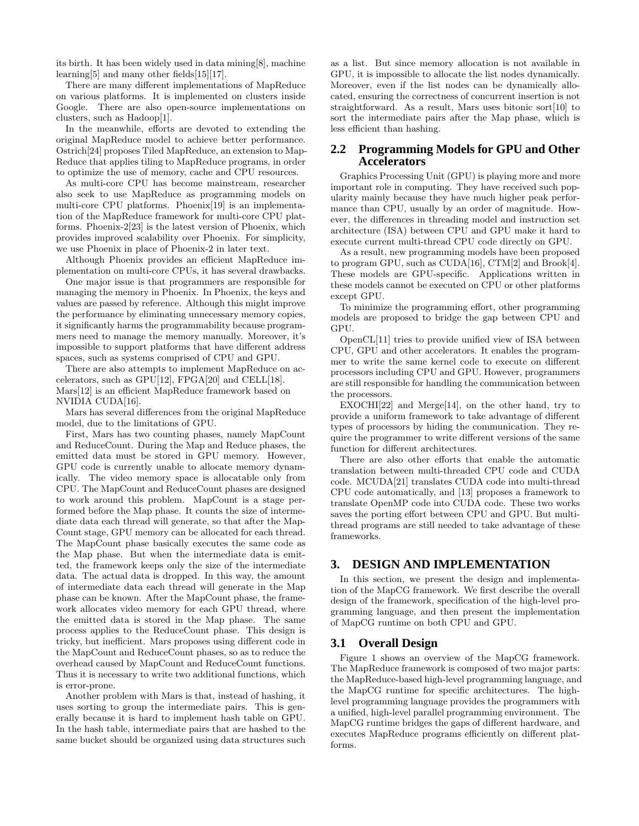its birth. It has been widely used in data mining[8], machine learning[5] and many other fields[15][17].

There are many different implementations of MapReduce on various platforms. It is implemented on clusters inside Google. There are also open-source implementations on clusters, such as Hadoop[1].

In the meanwhile, efforts are devoted to extending the original MapReduce model to achieve better performance. Ostrich[24] proposes Tiled MapReduce, an extension to Map-Reduce that applies tiling to MapReduce programs, in order to optimize the use of memory, cache and CPU resources.

As multi-core CPU has become mainstream, researcher also seek to use MapReduce as programming models on multi-core CPU platforms. Phoenix[19] is an implementation of the MapReduce framework for multi-core CPU platforms. Phoenix-2[23] is the latest version of Phoenix, which provides improved scalability over Phoenix. For simplicity, we use Phoenix in place of Phoenix-2 in later text.

Although Phoenix provides an efficient MapReduce implementation on multi-core CPUs, it has several drawbacks.

One major issue is that programmers are responsible for managing the memory in Phoenix. In Phoenix, the keys and values are passed by reference. Although this might improve the performance by eliminating unnecessary memory copies, it significantly harms the programmability because programmers need to manage the memory manually. Moreover, it's impossible to support platforms that have different address spaces, such as systems comprised of CPU and GPU.

There are also attempts to implement MapReduce on accelerators, such as GPU[12], FPGA[20] and CELL[18]. Mars[12] is an efficient MapReduce framework based on NVIDIA CUDA[16].

Mars has several differences from the original MapReduce model, due to the limitations of GPU.

First, Mars has two counting phases, namely MapCount and ReduceCount. During the Map and Reduce phases, the emitted data must be stored in GPU memory. However, GPU code is currently unable to allocate memory dynamically. The video memory space is allocatable only from CPU. The MapCount and ReduceCount phases are designed to work around this problem. MapCount is a stage performed before the Map phase. It counts the size of intermediate data each thread will generate, so that after the Map-Count stage, GPU memory can be allocated for each thread. The MapCount phase basically executes the same code as the Map phase. But when the intermediate data is emitted, the framework keeps only the size of the intermediate data. The actual data is dropped. In this way, the amount of intermediate data each thread will generate in the Map phase can be known. After the MapCount phase, the framework allocates video memory for each GPU thread, where the emitted data is stored in the Map phase. The same process applies to the ReduceCount phase. This design is tricky, but inefficient. Mars proposes using different code in the MapCount and ReduceCount phases, so as to reduce the overhead caused by MapCount and ReduceCount functions. Thus it is necessary to write two additional functions, which is error-prone.

Another problem with Mars is that, instead of hashing, it uses sorting to group the intermediate pairs. This is generally because it is hard to implement hash table on GPU. In the hash table, intermediate pairs that are hashed to the same bucket should be organized using data structures such as a list. But since memory allocation is not available in GPU, it is impossible to allocate the list nodes dynamically. Moreover, even if the list nodes can be dynamically allocated, ensuring the correctness of concurrent insertion is not straightforward. As a result, Mars uses bitonic sort[10] to sort the intermediate pairs after the Map phase, which is less efficient than hashing.

#### **2.2 Programming Models for GPU and Other Accelerators**

Graphics Processing Unit (GPU) is playing more and more important role in computing. They have received such popularity mainly because they have much higher peak performance than CPU, usually by an order of magnitude. However, the differences in threading model and instruction set architecture (ISA) between CPU and GPU make it hard to execute current multi-thread CPU code directly on GPU.

As a result, new programming models have been proposed to program GPU, such as CUDA[16], CTM[2] and Brook[4]. These models are GPU-specific. Applications written in these models cannot be executed on CPU or other platforms except GPU.

To minimize the programming effort, other programming models are proposed to bridge the gap between CPU and GPU.

OpenCL[11] tries to provide unified view of ISA between CPU, GPU and other accelerators. It enables the programmer to write the same kernel code to execute on different processors including CPU and GPU. However, programmers are still responsible for handling the communication between the processors.

EXOCHI[22] and Merge[14], on the other hand, try to provide a uniform framework to take advantage of different types of processors by hiding the communication. They require the programmer to write different versions of the same function for different architectures.

There are also other efforts that enable the automatic translation between multi-threaded CPU code and CUDA code. MCUDA[21] translates CUDA code into multi-thread CPU code automatically, and [13] proposes a framework to translate OpenMP code into CUDA code. These two works saves the porting effort between CPU and GPU. But multithread programs are still needed to take advantage of these frameworks.

## **3. DESIGN AND IMPLEMENTATION**

In this section, we present the design and implementation of the MapCG framework. We first describe the overall design of the framework, specification of the high-level programming language, and then present the implementation of MapCG runtime on both CPU and GPU.

#### **3.1 Overall Design**

Figure 1 shows an overview of the MapCG framework. The MapReduce framework is composed of two major parts: the MapReduce-based high-level programming language, and the MapCG runtime for specific architectures. The highlevel programming language provides the programmers with a unified, high-level parallel programming environment. The MapCG runtime bridges the gaps of different hardware, and executes MapReduce programs efficiently on different platforms.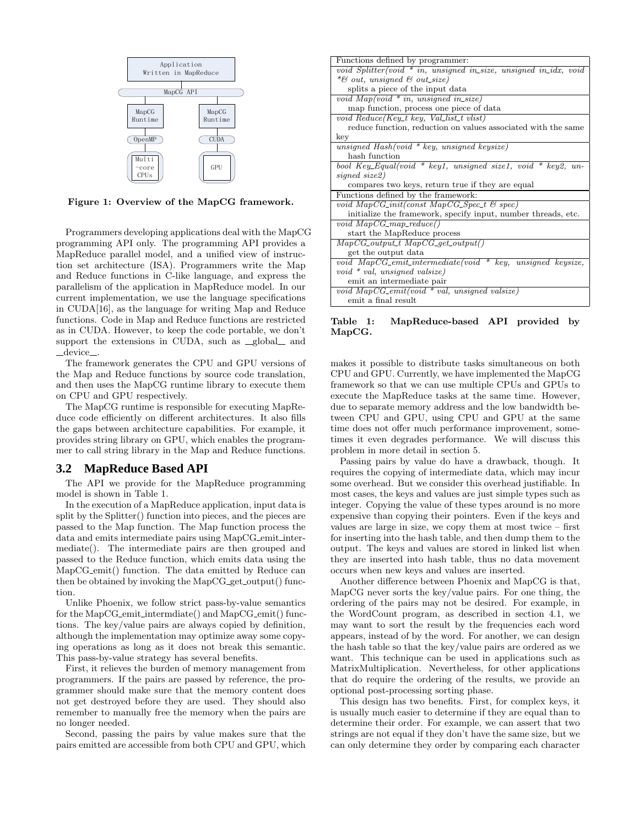

Figure 1: Overview of the MapCG framework.

Programmers developing applications deal with the MapCG programming API only. The programming API provides a MapReduce parallel model, and a unified view of instruction set architecture (ISA). Programmers write the Map and Reduce functions in C-like language, and express the parallelism of the application in MapReduce model. In our current implementation, we use the language specifications in CUDA[16], as the language for writing Map and Reduce functions. Code in Map and Reduce functions are restricted as in CUDA. However, to keep the code portable, we don't support the extensions in CUDA, such as  $\equiv$  global and \_device\_.

The framework generates the CPU and GPU versions of the Map and Reduce functions by source code translation, and then uses the MapCG runtime library to execute them on CPU and GPU respectively.

The MapCG runtime is responsible for executing MapReduce code efficiently on different architectures. It also fills the gaps between architecture capabilities. For example, it provides string library on GPU, which enables the programmer to call string library in the Map and Reduce functions.

#### **3.2 MapReduce Based API**

The API we provide for the MapReduce programming model is shown in Table 1.

In the execution of a MapReduce application, input data is split by the Splitter() function into pieces, and the pieces are passed to the Map function. The Map function process the data and emits intermediate pairs using MapCG\_emit\_intermediate(). The intermediate pairs are then grouped and passed to the Reduce function, which emits data using the MapCG emit() function. The data emitted by Reduce can then be obtained by invoking the  $MapCG\_get\_output()$  function.

Unlike Phoenix, we follow strict pass-by-value semantics for the MapCG\_emit\_intermdiate() and MapCG\_emit() functions. The key/value pairs are always copied by definition, although the implementation may optimize away some copying operations as long as it does not break this semantic. This pass-by-value strategy has several benefits.

First, it relieves the burden of memory management from programmers. If the pairs are passed by reference, the programmer should make sure that the memory content does not get destroyed before they are used. They should also remember to manually free the memory when the pairs are no longer needed.

Second, passing the pairs by value makes sure that the pairs emitted are accessible from both CPU and GPU, which

| Functions defined by programmer:                                 |  |  |  |  |
|------------------------------------------------------------------|--|--|--|--|
| void Splitter(void * in, unsigned in_size, unsigned in_idx, void |  |  |  |  |
| $*$ <i>&amp; out, unsigned &amp; out_size</i> )                  |  |  |  |  |
| splits a piece of the input data                                 |  |  |  |  |
| void Map(void $*$ in, unsigned in_size)                          |  |  |  |  |
| map function, process one piece of data                          |  |  |  |  |
| void Reduce(Key_t key, Val_list_t vlist)                         |  |  |  |  |
| reduce function, reduction on values associated with the same    |  |  |  |  |
| key                                                              |  |  |  |  |
| unsigned Hash(void $*$ key, unsigned keysize)                    |  |  |  |  |
| hash function                                                    |  |  |  |  |
| bool Key_Equal(void * key1, unsigned size1, void * key2, un-     |  |  |  |  |
| signed size2)                                                    |  |  |  |  |
| compares two keys, return true if they are equal                 |  |  |  |  |
| Functions defined by the framework:                              |  |  |  |  |
| void $MapCG\_init(const \ MapCG\_Spec_t \ & spec)$               |  |  |  |  |
|                                                                  |  |  |  |  |
| initialize the framework, specify input, number threads, etc.    |  |  |  |  |
| void $MapCG\_map\_reduce()$                                      |  |  |  |  |
| start the MapReduce process                                      |  |  |  |  |
| $MapCG\_output\_t$ $MapCG\_get\_output()$                        |  |  |  |  |
| get the output data                                              |  |  |  |  |
| void MapCG_emit_intermediate(void * key, unsigned keysize,       |  |  |  |  |
| $void * val, unsigned \text{ }valsize)$                          |  |  |  |  |
| emit an intermediate pair                                        |  |  |  |  |
| void MapCG_emit(void $\overline{*}$ val, unsigned valsize)       |  |  |  |  |

Table 1: MapReduce-based API provided by MapCG.

makes it possible to distribute tasks simultaneous on both CPU and GPU. Currently, we have implemented the MapCG framework so that we can use multiple CPUs and GPUs to execute the MapReduce tasks at the same time. However, due to separate memory address and the low bandwidth between CPU and GPU, using CPU and GPU at the same time does not offer much performance improvement, sometimes it even degrades performance. We will discuss this problem in more detail in section 5.

Passing pairs by value do have a drawback, though. It requires the copying of intermediate data, which may incur some overhead. But we consider this overhead justifiable. In most cases, the keys and values are just simple types such as integer. Copying the value of these types around is no more expensive than copying their pointers. Even if the keys and values are large in size, we copy them at most twice – first for inserting into the hash table, and then dump them to the output. The keys and values are stored in linked list when they are inserted into hash table, thus no data movement occurs when new keys and values are inserted.

Another difference between Phoenix and MapCG is that, MapCG never sorts the key/value pairs. For one thing, the ordering of the pairs may not be desired. For example, in the WordCount program, as described in section 4.1, we may want to sort the result by the frequencies each word appears, instead of by the word. For another, we can design the hash table so that the key/value pairs are ordered as we want. This technique can be used in applications such as MatrixMultiplication. Nevertheless, for other applications that do require the ordering of the results, we provide an optional post-processing sorting phase.

This design has two benefits. First, for complex keys, it is usually much easier to determine if they are equal than to determine their order. For example, we can assert that two strings are not equal if they don't have the same size, but we can only determine they order by comparing each character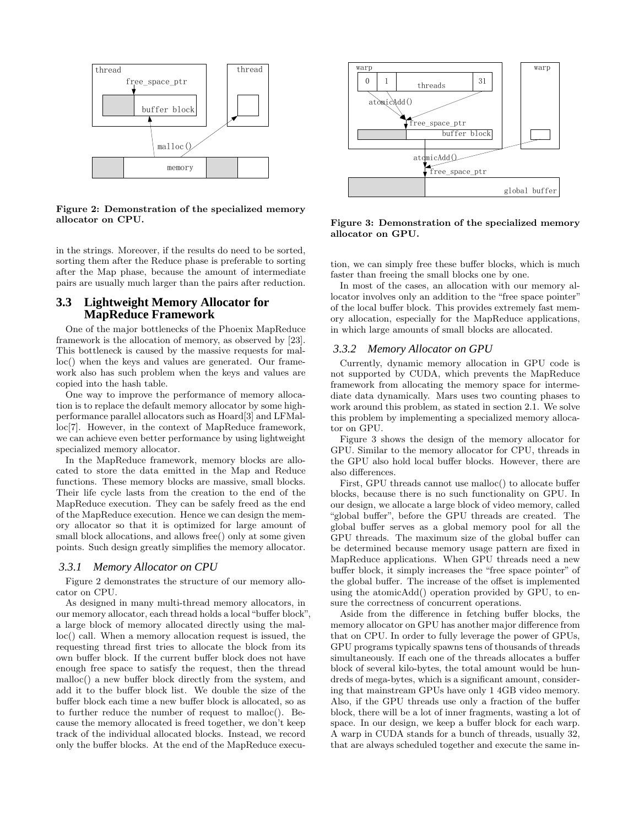

Figure 2: Demonstration of the specialized memory allocator on CPU.

in the strings. Moreover, if the results do need to be sorted, sorting them after the Reduce phase is preferable to sorting after the Map phase, because the amount of intermediate pairs are usually much larger than the pairs after reduction.

## **3.3 Lightweight Memory Allocator for MapReduce Framework**

One of the major bottlenecks of the Phoenix MapReduce framework is the allocation of memory, as observed by [23]. This bottleneck is caused by the massive requests for malloc() when the keys and values are generated. Our framework also has such problem when the keys and values are copied into the hash table.

One way to improve the performance of memory allocation is to replace the default memory allocator by some highperformance parallel allocators such as Hoard[3] and LFMalloc[7]. However, in the context of MapReduce framework, we can achieve even better performance by using lightweight specialized memory allocator.

In the MapReduce framework, memory blocks are allocated to store the data emitted in the Map and Reduce functions. These memory blocks are massive, small blocks. Their life cycle lasts from the creation to the end of the MapReduce execution. They can be safely freed as the end of the MapReduce execution. Hence we can design the memory allocator so that it is optimized for large amount of small block allocations, and allows free() only at some given points. Such design greatly simplifies the memory allocator.

#### *3.3.1 Memory Allocator on CPU*

Figure 2 demonstrates the structure of our memory allocator on CPU.

As designed in many multi-thread memory allocators, in our memory allocator, each thread holds a local"buffer block", a large block of memory allocated directly using the malloc() call. When a memory allocation request is issued, the requesting thread first tries to allocate the block from its own buffer block. If the current buffer block does not have enough free space to satisfy the request, then the thread malloc() a new buffer block directly from the system, and add it to the buffer block list. We double the size of the buffer block each time a new buffer block is allocated, so as to further reduce the number of request to malloc(). Because the memory allocated is freed together, we don't keep track of the individual allocated blocks. Instead, we record only the buffer blocks. At the end of the MapReduce execu-



Figure 3: Demonstration of the specialized memory allocator on GPU.

tion, we can simply free these buffer blocks, which is much faster than freeing the small blocks one by one.

In most of the cases, an allocation with our memory allocator involves only an addition to the "free space pointer" of the local buffer block. This provides extremely fast memory allocation, especially for the MapReduce applications, in which large amounts of small blocks are allocated.

#### *3.3.2 Memory Allocator on GPU*

Currently, dynamic memory allocation in GPU code is not supported by CUDA, which prevents the MapReduce framework from allocating the memory space for intermediate data dynamically. Mars uses two counting phases to work around this problem, as stated in section 2.1. We solve this problem by implementing a specialized memory allocator on GPU.

Figure 3 shows the design of the memory allocator for GPU. Similar to the memory allocator for CPU, threads in the GPU also hold local buffer blocks. However, there are also differences.

First, GPU threads cannot use malloc() to allocate buffer blocks, because there is no such functionality on GPU. In our design, we allocate a large block of video memory, called "global buffer", before the GPU threads are created. The global buffer serves as a global memory pool for all the GPU threads. The maximum size of the global buffer can be determined because memory usage pattern are fixed in MapReduce applications. When GPU threads need a new buffer block, it simply increases the "free space pointer" of the global buffer. The increase of the offset is implemented using the atomicAdd() operation provided by GPU, to ensure the correctness of concurrent operations.

Aside from the difference in fetching buffer blocks, the memory allocator on GPU has another major difference from that on CPU. In order to fully leverage the power of GPUs, GPU programs typically spawns tens of thousands of threads simultaneously. If each one of the threads allocates a buffer block of several kilo-bytes, the total amount would be hundreds of mega-bytes, which is a significant amount, considering that mainstream GPUs have only 1 4GB video memory. Also, if the GPU threads use only a fraction of the buffer block, there will be a lot of inner fragments, wasting a lot of space. In our design, we keep a buffer block for each warp. A warp in CUDA stands for a bunch of threads, usually 32, that are always scheduled together and execute the same in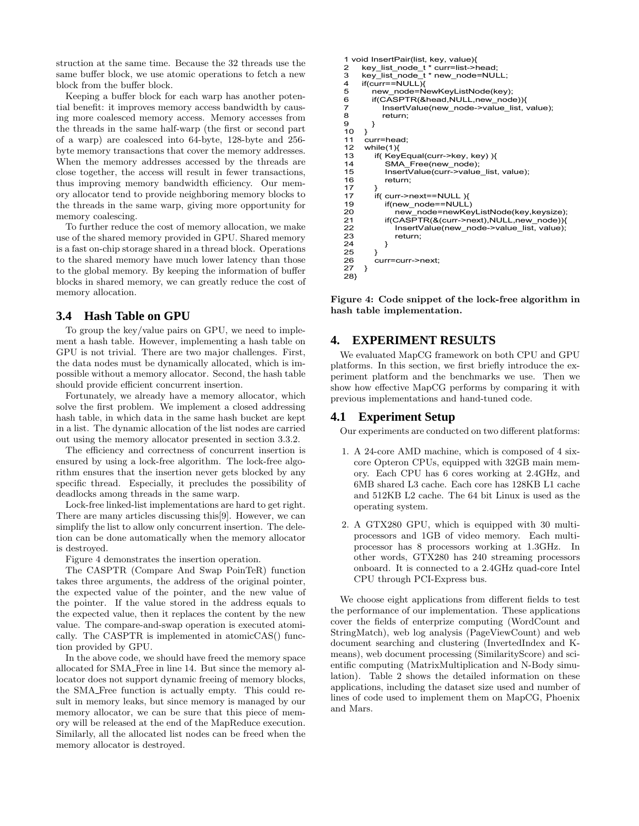struction at the same time. Because the 32 threads use the same buffer block, we use atomic operations to fetch a new block from the buffer block.

Keeping a buffer block for each warp has another potential benefit: it improves memory access bandwidth by causing more coalesced memory access. Memory accesses from the threads in the same half-warp (the first or second part of a warp) are coalesced into 64-byte, 128-byte and 256 byte memory transactions that cover the memory addresses. When the memory addresses accessed by the threads are close together, the access will result in fewer transactions, thus improving memory bandwidth efficiency. Our memory allocator tend to provide neighboring memory blocks to the threads in the same warp, giving more opportunity for memory coalescing.

To further reduce the cost of memory allocation, we make use of the shared memory provided in GPU. Shared memory is a fast on-chip storage shared in a thread block. Operations to the shared memory have much lower latency than those to the global memory. By keeping the information of buffer blocks in shared memory, we can greatly reduce the cost of memory allocation.

## **3.4 Hash Table on GPU**

To group the key/value pairs on GPU, we need to implement a hash table. However, implementing a hash table on GPU is not trivial. There are two major challenges. First, the data nodes must be dynamically allocated, which is impossible without a memory allocator. Second, the hash table should provide efficient concurrent insertion.

Fortunately, we already have a memory allocator, which solve the first problem. We implement a closed addressing hash table, in which data in the same hash bucket are kept in a list. The dynamic allocation of the list nodes are carried out using the memory allocator presented in section 3.3.2.

The efficiency and correctness of concurrent insertion is ensured by using a lock-free algorithm. The lock-free algorithm ensures that the insertion never gets blocked by any specific thread. Especially, it precludes the possibility of deadlocks among threads in the same warp.

Lock-free linked-list implementations are hard to get right. There are many articles discussing this[9]. However, we can simplify the list to allow only concurrent insertion. The deletion can be done automatically when the memory allocator is destroyed.

Figure 4 demonstrates the insertion operation.

The CASPTR (Compare And Swap PoinTeR) function takes three arguments, the address of the original pointer, the expected value of the pointer, and the new value of the pointer. If the value stored in the address equals to the expected value, then it replaces the content by the new value. The compare-and-swap operation is executed atomically. The CASPTR is implemented in atomicCAS() function provided by GPU.

In the above code, we should have freed the memory space allocated for SMA Free in line 14. But since the memory allocator does not support dynamic freeing of memory blocks, the SMA Free function is actually empty. This could result in memory leaks, but since memory is managed by our memory allocator, we can be sure that this piece of memory will be released at the end of the MapReduce execution. Similarly, all the allocated list nodes can be freed when the memory allocator is destroyed.

```
1 void InsertPair(list, key, value){
2 key_list_node_t * curr=list->head;
3 key_list_node_t * new_node=NULL;
4 if(curr = \overline{NULL})<br>5 new node=N
          new_node=NewKeyListNode(key);
6 if(CASPTR(&head,NULL,new_node)){<br>7 InsertValue(new node->value list, \
7 InsertValue(new_node->value_list, value);<br>8 return;
         return;
9<br>10 }
10<br>11
11 curr=head;<br>12 while(1){
12 while(1)\{<br>13 if Kev
13 if( KeyEqual(curr->key, key) ){<br>14 SMA Free(new node);
14 SMA_Free(new_node);<br>15 InsertValue(curr->value
15 InsertValue(curr->value_list, value);<br>16 return:
              return:
17<br>17
17 if( curr->next==NULL ){<br>19 if(new node==NULL)
19 if(new_node==NULL)<br>20 new node=newKey
20 new_node=newKeyListNode(key,keysize);<br>21 if(CASPTR(&(curr->next),NULL,new_node)){
21 if(CASPTR(&(curr->next),NULL,new_node)){<br>22 InsertValue(new node->value list, value);
22 InsertValue(new_node->value_list, value);<br>23 return;
             return;<br>}
24 }
25 }
26 curr=curr->next;
      \}28}
```
Figure 4: Code snippet of the lock-free algorithm in hash table implementation.

#### **4. EXPERIMENT RESULTS**

We evaluated MapCG framework on both CPU and GPU platforms. In this section, we first briefly introduce the experiment platform and the benchmarks we use. Then we show how effective MapCG performs by comparing it with previous implementations and hand-tuned code.

#### **4.1 Experiment Setup**

Our experiments are conducted on two different platforms:

- 1. A 24-core AMD machine, which is composed of 4 sixcore Opteron CPUs, equipped with 32GB main memory. Each CPU has 6 cores working at 2.4GHz, and 6MB shared L3 cache. Each core has 128KB L1 cache and 512KB L2 cache. The 64 bit Linux is used as the operating system.
- 2. A GTX280 GPU, which is equipped with 30 multiprocessors and 1GB of video memory. Each multiprocessor has 8 processors working at 1.3GHz. In other words, GTX280 has 240 streaming processors onboard. It is connected to a 2.4GHz quad-core Intel CPU through PCI-Express bus.

We choose eight applications from different fields to test the performance of our implementation. These applications cover the fields of enterprize computing (WordCount and StringMatch), web log analysis (PageViewCount) and web document searching and clustering (InvertedIndex and Kmeans), web document processing (SimilarityScore) and scientific computing (MatrixMultiplication and N-Body simulation). Table 2 shows the detailed information on these applications, including the dataset size used and number of lines of code used to implement them on MapCG, Phoenix and Mars.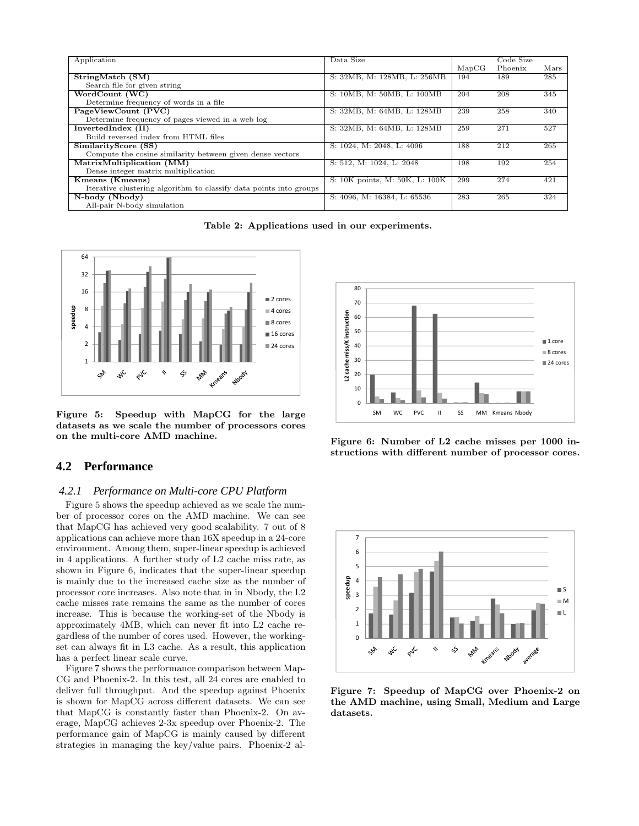| Application                                                        | Data Size                      |       | Code Size |      |
|--------------------------------------------------------------------|--------------------------------|-------|-----------|------|
|                                                                    |                                | MapCG | Phoenix   | Mars |
| StringMatch (SM)                                                   | S: 32MB, M: 128MB, L: 256MB    | 194   | 189       | 285  |
| Search file for given string                                       |                                |       |           |      |
| WordCount (WC)                                                     | S: 10MB, M: 50MB, L: 100MB     | 204   | 208       | 345  |
| Determine frequency of words in a file                             |                                |       |           |      |
| PageViewCount (PVC)                                                | S: 32MB, M: 64MB, L: 128MB     | 239   | 258       | 340  |
| Determine frequency of pages viewed in a web log                   |                                |       |           |      |
| InvertedIndex (II)                                                 | S: 32MB, M: 64MB, L: 128MB     | 259   | 271       | 527  |
| Build reversed index from HTML files                               |                                |       |           |      |
| SimilarityScore (SS)                                               | S: 1024, M: 2048, L: 4096      | 188   | 212       | 265  |
| Compute the cosine similarity between given dense vectors          |                                |       |           |      |
| MatrixMultiplication (MM)                                          | S: 512, M: 1024, L: 2048       | 198   | 192       | 254  |
| Dense integer matrix multiplication                                |                                |       |           |      |
| Kmeans (Kmeans)                                                    | S: 10K points, M: 50K, L: 100K | 299   | 274       | 421  |
| Iterative clustering algorithm to classify data points into groups |                                |       |           |      |
| N-body (Nbody)                                                     | S: 4096, M: 16384, L: 65536    | 283   | 265       | 324  |
| All-pair N-body simulation                                         |                                |       |           |      |

Table 2: Applications used in our experiments.



Figure 5: Speedup with MapCG for the large datasets as we scale the number of processors cores on the multi-core AMD machine.

# **4.2 Performance**

#### *4.2.1 Performance on Multi-core CPU Platform*

Figure 5 shows the speedup achieved as we scale the number of processor cores on the AMD machine. We can see that MapCG has achieved very good scalability. 7 out of 8 applications can achieve more than 16X speedup in a 24-core environment. Among them, super-linear speedup is achieved in 4 applications. A further study of L2 cache miss rate, as shown in Figure 6, indicates that the super-linear speedup is mainly due to the increased cache size as the number of processor core increases. Also note that in in Nbody, the L2 cache misses rate remains the same as the number of cores increase. This is because the working-set of the Nbody is approximately 4MB, which can never fit into L2 cache regardless of the number of cores used. However, the workingset can always fit in L3 cache. As a result, this application has a perfect linear scale curve.

Figure 7 shows the performance comparison between Map-CG and Phoenix-2. In this test, all 24 cores are enabled to deliver full throughput. And the speedup against Phoenix is shown for MapCG across different datasets. We can see that MapCG is constantly faster than Phoenix-2. On average, MapCG achieves 2-3x speedup over Phoenix-2. The performance gain of MapCG is mainly caused by different strategies in managing the key/value pairs. Phoenix-2 al-



Figure 6: Number of L2 cache misses per 1000 instructions with different number of processor cores.



Figure 7: Speedup of MapCG over Phoenix-2 on the AMD machine, using Small, Medium and Large datasets.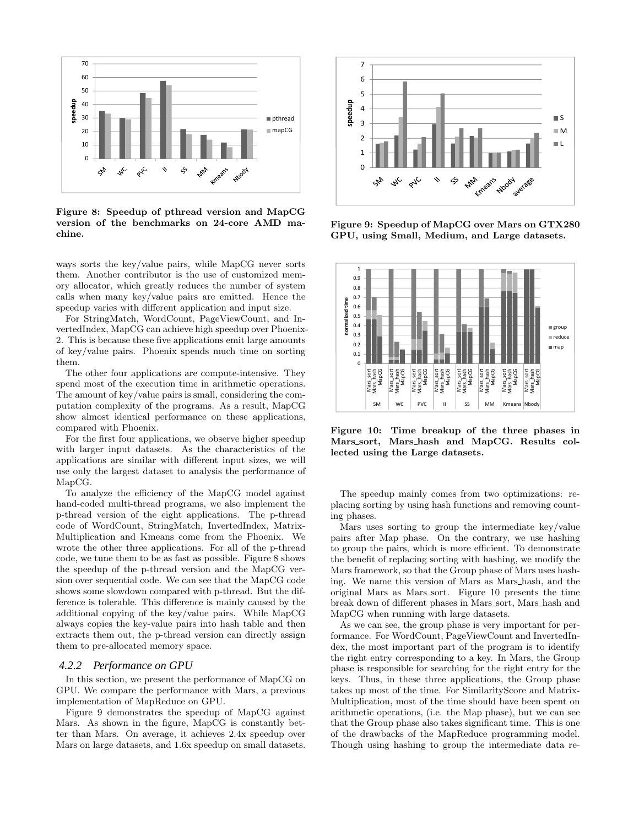

Figure 8: Speedup of pthread version and MapCG version of the benchmarks on 24-core AMD machine.

ways sorts the key/value pairs, while MapCG never sorts them. Another contributor is the use of customized memory allocator, which greatly reduces the number of system calls when many key/value pairs are emitted. Hence the speedup varies with different application and input size.

For StringMatch, WordCount, PageViewCount, and InvertedIndex, MapCG can achieve high speedup over Phoenix-2. This is because these five applications emit large amounts of key/value pairs. Phoenix spends much time on sorting them.

The other four applications are compute-intensive. They spend most of the execution time in arithmetic operations. The amount of key/value pairs is small, considering the computation complexity of the programs. As a result, MapCG show almost identical performance on these applications, compared with Phoenix.

For the first four applications, we observe higher speedup with larger input datasets. As the characteristics of the applications are similar with different input sizes, we will use only the largest dataset to analysis the performance of MapCG.

To analyze the efficiency of the MapCG model against hand-coded multi-thread programs, we also implement the p-thread version of the eight applications. The p-thread code of WordCount, StringMatch, InvertedIndex, Matrix-Multiplication and Kmeans come from the Phoenix. We wrote the other three applications. For all of the p-thread code, we tune them to be as fast as possible. Figure 8 shows the speedup of the p-thread version and the MapCG version over sequential code. We can see that the MapCG code shows some slowdown compared with p-thread. But the difference is tolerable. This difference is mainly caused by the additional copying of the key/value pairs. While MapCG always copies the key-value pairs into hash table and then extracts them out, the p-thread version can directly assign them to pre-allocated memory space.

#### *4.2.2 Performance on GPU*

In this section, we present the performance of MapCG on GPU. We compare the performance with Mars, a previous implementation of MapReduce on GPU.

Figure 9 demonstrates the speedup of MapCG against Mars. As shown in the figure, MapCG is constantly better than Mars. On average, it achieves 2.4x speedup over Mars on large datasets, and 1.6x speedup on small datasets.



Figure 9: Speedup of MapCG over Mars on GTX280 GPU, using Small, Medium, and Large datasets.



Figure 10: Time breakup of the three phases in Mars sort, Mars hash and MapCG. Results collected using the Large datasets.

The speedup mainly comes from two optimizations: replacing sorting by using hash functions and removing counting phases.

Mars uses sorting to group the intermediate key/value pairs after Map phase. On the contrary, we use hashing to group the pairs, which is more efficient. To demonstrate the benefit of replacing sorting with hashing, we modify the Mars framework, so that the Group phase of Mars uses hashing. We name this version of Mars as Mars hash, and the original Mars as Mars sort. Figure 10 presents the time break down of different phases in Mars\_sort, Mars\_hash and MapCG when running with large datasets.

As we can see, the group phase is very important for performance. For WordCount, PageViewCount and InvertedIndex, the most important part of the program is to identify the right entry corresponding to a key. In Mars, the Group phase is responsible for searching for the right entry for the keys. Thus, in these three applications, the Group phase takes up most of the time. For SimilarityScore and Matrix-Multiplication, most of the time should have been spent on arithmetic operations, (i.e. the Map phase), but we can see that the Group phase also takes significant time. This is one of the drawbacks of the MapReduce programming model. Though using hashing to group the intermediate data re-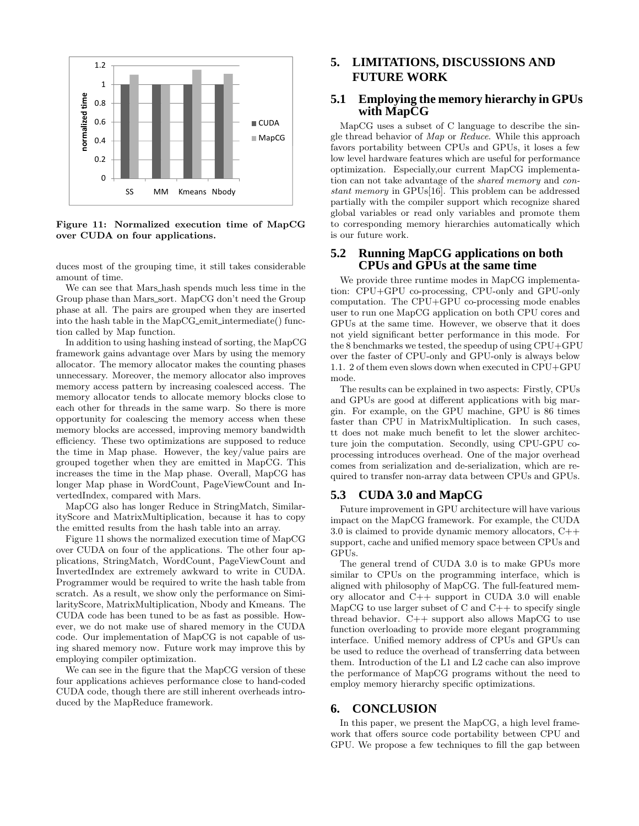

Figure 11: Normalized execution time of MapCG over CUDA on four applications.

duces most of the grouping time, it still takes considerable amount of time.

We can see that Mars\_hash spends much less time in the Group phase than Mars\_sort. MapCG don't need the Group phase at all. The pairs are grouped when they are inserted into the hash table in the MapCG\_emit\_intermediate() function called by Map function.

In addition to using hashing instead of sorting, the MapCG framework gains advantage over Mars by using the memory allocator. The memory allocator makes the counting phases unnecessary. Moreover, the memory allocator also improves memory access pattern by increasing coalesced access. The memory allocator tends to allocate memory blocks close to each other for threads in the same warp. So there is more opportunity for coalescing the memory access when these memory blocks are accessed, improving memory bandwidth efficiency. These two optimizations are supposed to reduce the time in Map phase. However, the key/value pairs are grouped together when they are emitted in MapCG. This increases the time in the Map phase. Overall, MapCG has longer Map phase in WordCount, PageViewCount and InvertedIndex, compared with Mars.

MapCG also has longer Reduce in StringMatch, SimilarityScore and MatrixMultiplication, because it has to copy the emitted results from the hash table into an array.

Figure 11 shows the normalized execution time of MapCG over CUDA on four of the applications. The other four applications, StringMatch, WordCount, PageViewCount and InvertedIndex are extremely awkward to write in CUDA. Programmer would be required to write the hash table from scratch. As a result, we show only the performance on SimilarityScore, MatrixMultiplication, Nbody and Kmeans. The CUDA code has been tuned to be as fast as possible. However, we do not make use of shared memory in the CUDA code. Our implementation of MapCG is not capable of using shared memory now. Future work may improve this by employing compiler optimization.

We can see in the figure that the MapCG version of these four applications achieves performance close to hand-coded CUDA code, though there are still inherent overheads introduced by the MapReduce framework.

# **5. LIMITATIONS, DISCUSSIONS AND FUTURE WORK**

#### **5.1 Employing the memory hierarchy in GPUs with MapCG**

MapCG uses a subset of C language to describe the single thread behavior of Map or Reduce. While this approach favors portability between CPUs and GPUs, it loses a few low level hardware features which are useful for performance optimization. Especially,our current MapCG implementation can not take advantage of the shared memory and constant memory in GPUs[16]. This problem can be addressed partially with the compiler support which recognize shared global variables or read only variables and promote them to corresponding memory hierarchies automatically which is our future work.

## **5.2 Running MapCG applications on both CPUs and GPUs at the same time**

We provide three runtime modes in MapCG implementation: CPU+GPU co-processing, CPU-only and GPU-only computation. The CPU+GPU co-processing mode enables user to run one MapCG application on both CPU cores and GPUs at the same time. However, we observe that it does not yield significant better performance in this mode. For the 8 benchmarks we tested, the speedup of using CPU+GPU over the faster of CPU-only and GPU-only is always below 1.1. 2 of them even slows down when executed in CPU+GPU mode.

The results can be explained in two aspects: Firstly, CPUs and GPUs are good at different applications with big margin. For example, on the GPU machine, GPU is 86 times faster than CPU in MatrixMultiplication. In such cases, tt does not make much benefit to let the slower architecture join the computation. Secondly, using CPU-GPU coprocessing introduces overhead. One of the major overhead comes from serialization and de-serialization, which are required to transfer non-array data between CPUs and GPUs.

#### **5.3 CUDA 3.0 and MapCG**

Future improvement in GPU architecture will have various impact on the MapCG framework. For example, the CUDA 3.0 is claimed to provide dynamic memory allocators, C++ support, cache and unified memory space between CPUs and GPUs.

The general trend of CUDA 3.0 is to make GPUs more similar to CPUs on the programming interface, which is aligned with philosophy of MapCG. The full-featured memory allocator and C++ support in CUDA 3.0 will enable MapCG to use larger subset of C and  $C++$  to specify single thread behavior. C++ support also allows MapCG to use function overloading to provide more elegant programming interface. Unified memory address of CPUs and GPUs can be used to reduce the overhead of transferring data between them. Introduction of the L1 and L2 cache can also improve the performance of MapCG programs without the need to employ memory hierarchy specific optimizations.

#### **6. CONCLUSION**

In this paper, we present the MapCG, a high level framework that offers source code portability between CPU and GPU. We propose a few techniques to fill the gap between